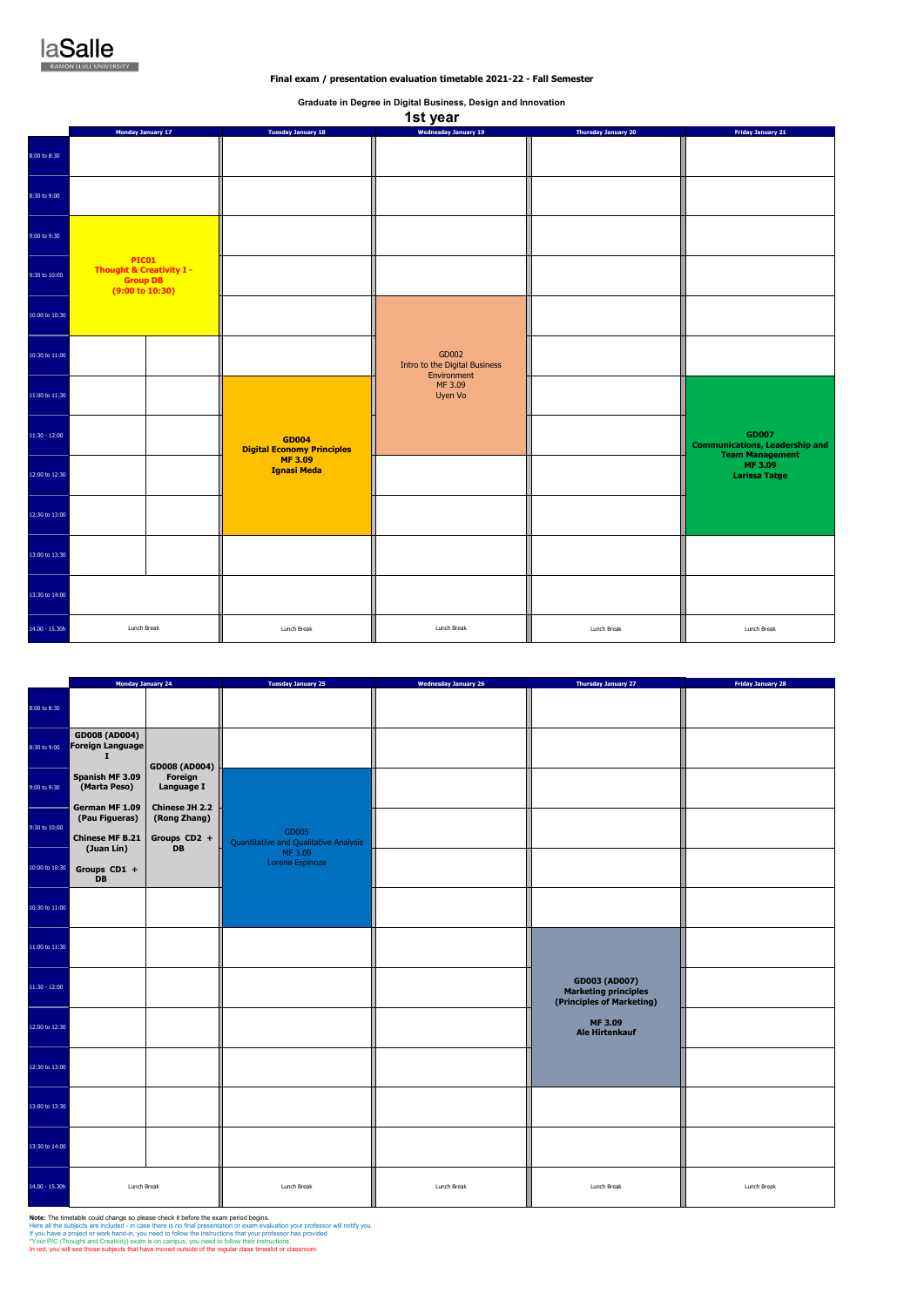|                 | <b>Monday January 24</b>                                   |                                                | <b>Tuesday January 25</b>                      | <b>Wednesday January 26</b> | <b>Thursday January 27</b>                                                       | <b>Friday January 28</b> |
|-----------------|------------------------------------------------------------|------------------------------------------------|------------------------------------------------|-----------------------------|----------------------------------------------------------------------------------|--------------------------|
| 8:00 to 8:30    |                                                            |                                                |                                                |                             |                                                                                  |                          |
| 8:30 to 9:00    | <b>GD008 (AD004)</b><br><b>Foreign Language</b><br>т       | <b>GD008 (AD004)</b>                           |                                                |                             |                                                                                  |                          |
| 9:00 to 9:30    | Spanish MF 3.09<br>(Marta Peso)                            | Foreign<br>Language I                          |                                                |                             |                                                                                  |                          |
| 9:30 to 10:00   | German MF 1.09<br>(Pau Figueras)<br><b>Chinese MF B.21</b> | Chinese JH 2.2<br>(Rong Zhang)<br>Groups CD2 + | GD005<br>Quantitative and Qualitative Analysis |                             |                                                                                  |                          |
| 10:00 to 10:30  | (Juan Lin)<br>Groups CD1 +<br><b>DB</b>                    | <b>DB</b>                                      | MF 3.09<br>Lorena Espinoza                     |                             |                                                                                  |                          |
| 10:30 to 11:00  |                                                            |                                                |                                                |                             |                                                                                  |                          |
| 11:00 to 11:30  |                                                            |                                                |                                                |                             |                                                                                  |                          |
| $11:30 - 12:00$ |                                                            |                                                |                                                |                             | <b>GD003 (AD007)</b><br><b>Marketing principles</b><br>(Principles of Marketing) |                          |
| 12:00 to 12:30  |                                                            |                                                |                                                |                             | <b>MF3.09</b><br><b>Ale Hirtenkauf</b>                                           |                          |
| 12:30 to 13:00  |                                                            |                                                |                                                |                             |                                                                                  |                          |
| 13:00 to 13:30  |                                                            |                                                |                                                |                             |                                                                                  |                          |
| 13:30 to 14:00  |                                                            |                                                |                                                |                             |                                                                                  |                          |
| 14.00 - 15.30h  | Lunch Break                                                |                                                | Lunch Break                                    | Lunch Break                 | Lunch Break                                                                      | Lunch Break              |

**Note:** The timetable could change so please check it before the exam period begins.<br>Here all the subjects are included - in case there is no final presentation or exam evaluation your professor will notify you.<br>If you hav

|                 |                                                                                           |                                                   | 1st year                                              |                            |                                                                                 |
|-----------------|-------------------------------------------------------------------------------------------|---------------------------------------------------|-------------------------------------------------------|----------------------------|---------------------------------------------------------------------------------|
|                 | <b>Monday January 17</b>                                                                  | <b>Tuesday January 18</b>                         | <b>Wednesday January 19</b>                           | <b>Thursday January 20</b> | <b>Friday January 21</b>                                                        |
| 8:00 to 8:30    |                                                                                           |                                                   |                                                       |                            |                                                                                 |
| 8:30 to 9:00    |                                                                                           |                                                   |                                                       |                            |                                                                                 |
| 9:00 to 9:30    |                                                                                           |                                                   |                                                       |                            |                                                                                 |
| 9:30 to 10:00   | <b>PIC01</b><br><b>Thought &amp; Creativity I -</b><br><b>Group DB</b><br>(9:00 to 10:30) |                                                   |                                                       |                            |                                                                                 |
| 10:00 to 10:30  |                                                                                           |                                                   |                                                       |                            |                                                                                 |
| 10:30 to 11:00  |                                                                                           |                                                   | GD002<br>Intro to the Digital Business<br>Environment |                            |                                                                                 |
| 11:00 to 11:30  |                                                                                           |                                                   | MF 3.09<br>Uyen Vo                                    |                            |                                                                                 |
| $11:30 - 12:00$ |                                                                                           | <b>GD004</b><br><b>Digital Economy Principles</b> |                                                       |                            | <b>GD007</b><br><b>Communications, Leadership and</b><br><b>Team Management</b> |
| 12:00 to 12:30  |                                                                                           | <b>MF3.09</b><br><b>Ignasi Meda</b>               |                                                       |                            | MF 3.09<br><b>Larissa Tatge</b>                                                 |
| 12:30 to 13:00  |                                                                                           |                                                   |                                                       |                            |                                                                                 |
| 13:00 to 13:30  |                                                                                           |                                                   |                                                       |                            |                                                                                 |
| 13:30 to 14:00  |                                                                                           |                                                   |                                                       |                            |                                                                                 |
| 14.00 - 15.30h  | Lunch Break                                                                               | Lunch Break                                       | Lunch Break                                           | Lunch Break                | Lunch Break                                                                     |



## **Final exam / presentation evaluation timetable 2021-22 - Fall Semester**

**Graduate in Degree in Digital Business, Design and Innovation**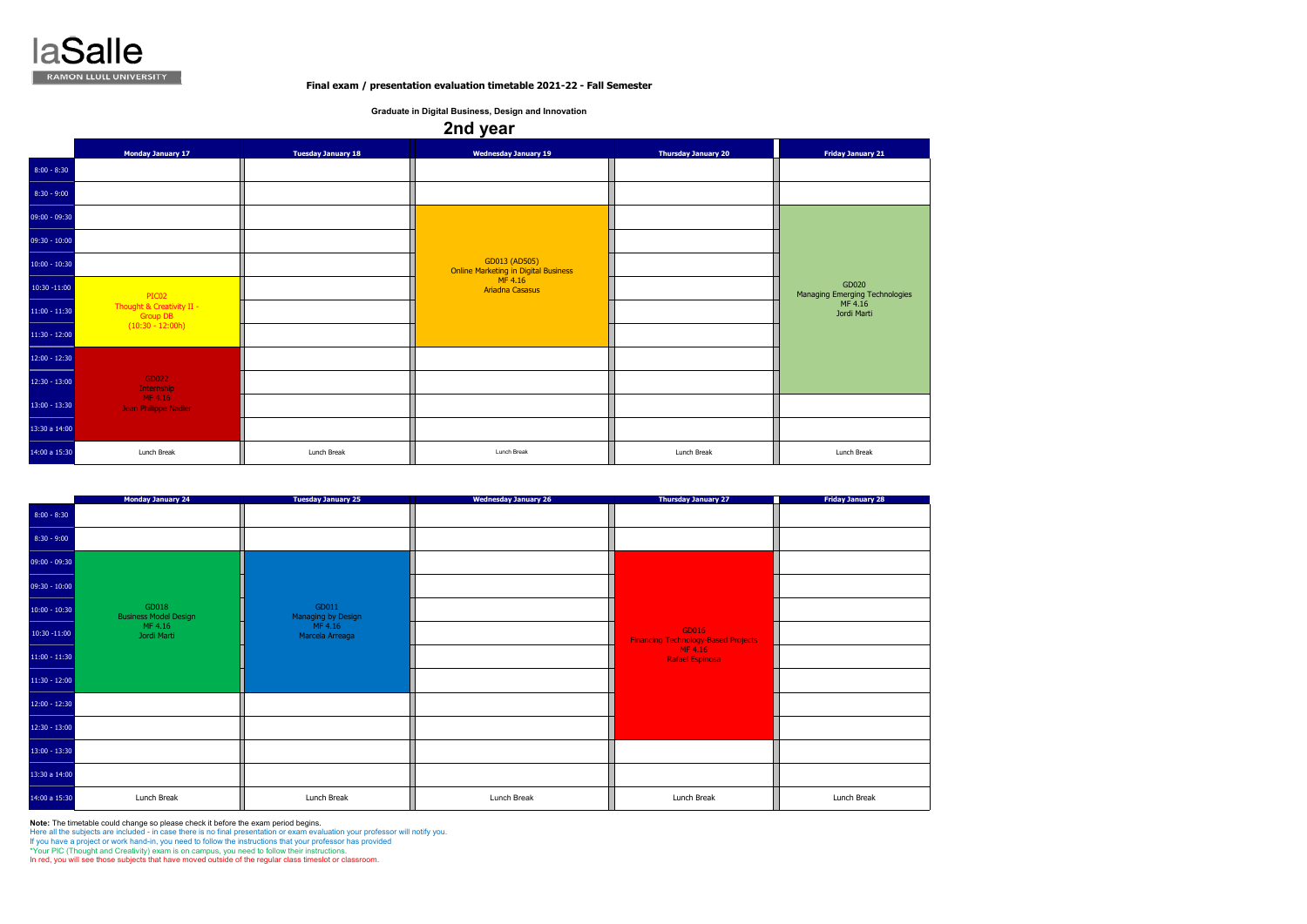**Note:** The timetable could change so please check it before the exam period begins.

Here all the subjects are included - in case there is no final presentation or exam evaluation your professor will notify you.

If you have a project or work hand-in, you need to follow the instructions that your professor has provided

|                 | <b>Monday January 24</b>              | <b>Tuesday January 25</b>   | <b>Wednesday January 26</b> | <b>Thursday January 27</b>                          | <b>Friday January 28</b> |
|-----------------|---------------------------------------|-----------------------------|-----------------------------|-----------------------------------------------------|--------------------------|
| $8:00 - 8:30$   |                                       |                             |                             |                                                     |                          |
| $8:30 - 9:00$   |                                       |                             |                             |                                                     |                          |
| $09:00 - 09:30$ |                                       |                             |                             |                                                     |                          |
| $09:30 - 10:00$ |                                       |                             |                             |                                                     |                          |
| $10:00 - 10:30$ | GD018<br><b>Business Model Design</b> | GD011<br>Managing by Design |                             |                                                     |                          |
| $10:30 - 11:00$ | MF 4.16<br>Jordi Marti                | MF 4.16<br>Marcela Arreaga  |                             | GD016<br><b>Financing Technology-Based Projects</b> |                          |
| $11:00 - 11:30$ |                                       |                             |                             | MF 4.16<br>Rafael Espinosa                          |                          |
| $11:30 - 12:00$ |                                       |                             |                             |                                                     |                          |
| $12:00 - 12:30$ |                                       |                             |                             |                                                     |                          |
| $12:30 - 13:00$ |                                       |                             |                             |                                                     |                          |
| $13:00 - 13:30$ |                                       |                             |                             |                                                     |                          |
| 13:30 a 14:00   |                                       |                             |                             |                                                     |                          |
| 14:00 a 15:30   | Lunch Break                           | Lunch Break                 | Lunch Break                 | Lunch Break                                         | Lunch Break              |

\*Your PIC (Thought and Creativity) exam is on campus, you need to follow their instructions.

In red, you will see those subjects that have moved outside of the regular class timeslot or classroom.

|                 | <b>Monday January 17</b>                     | <b>Tuesday January 18</b> | <b>Wednesday January 19</b>                                  | <b>Thursday January 20</b> | <b>Friday January 21</b>                |
|-----------------|----------------------------------------------|---------------------------|--------------------------------------------------------------|----------------------------|-----------------------------------------|
| $8:00 - 8:30$   |                                              |                           |                                                              |                            |                                         |
| $8:30 - 9:00$   |                                              |                           |                                                              |                            |                                         |
| 09:00 - 09:30   |                                              |                           |                                                              |                            |                                         |
| $09:30 - 10:00$ |                                              |                           |                                                              |                            |                                         |
| $10:00 - 10:30$ |                                              |                           | GD013 (AD505)<br><b>Online Marketing in Digital Business</b> |                            |                                         |
| $10:30 - 11:00$ | PIC02                                        |                           | MF 4.16<br><b>Ariadna Casasus</b>                            |                            | GD020<br>Managing Emerging Technologies |
| $11:00 - 11:30$ | Thought & Creativity II -<br><b>Group DB</b> |                           |                                                              |                            | MF 4.16<br>Jordi Marti                  |
| $11:30 - 12:00$ | $(10:30 - 12:00h)$                           |                           |                                                              |                            |                                         |
| $12:00 - 12:30$ |                                              |                           |                                                              |                            |                                         |
| $12:30 - 13:00$ | GD022<br>Internship                          |                           |                                                              |                            |                                         |
| $13:00 - 13:30$ | MF 4.16<br>Jean Philippe Nadier              |                           |                                                              |                            |                                         |
| 13:30 a 14:00   |                                              |                           |                                                              |                            |                                         |
| 14:00 a 15:30   | Lunch Break                                  | Lunch Break               | Lunch Break                                                  | Lunch Break                | Lunch Break                             |



## **Final exam / presentation evaluation timetable 2021-22 - Fall Semester**

**Graduate in Digital Business, Design and Innovation**

## **2nd year**